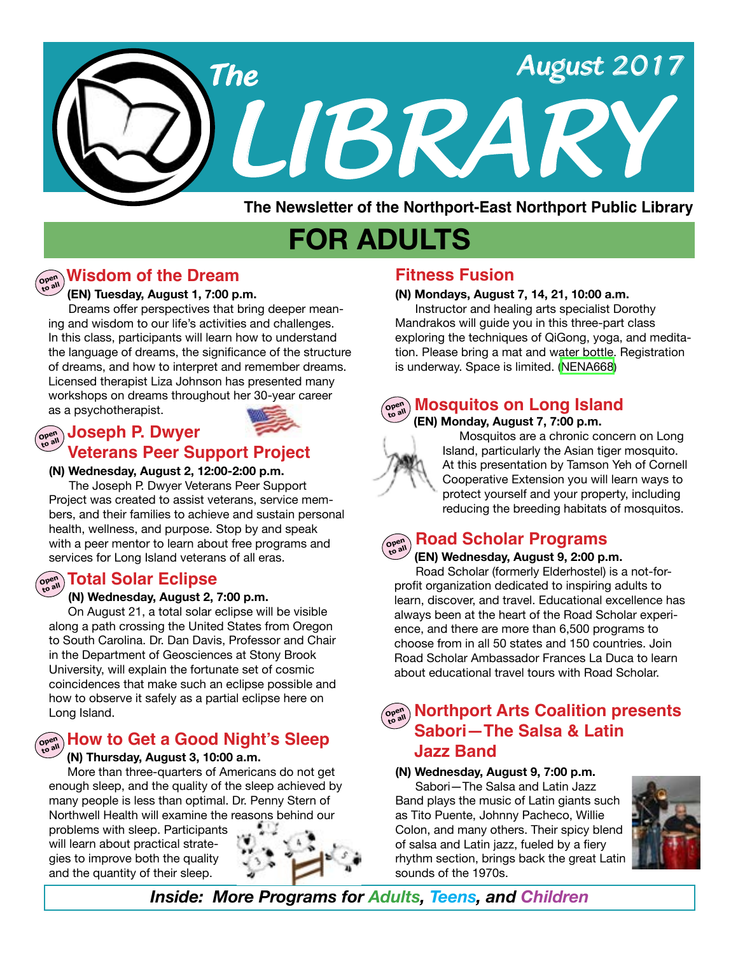

**The Newsletter of the Northport-East Northport Public Library**

# **FOR ADULTS**

#### **Open to all Wisdom of the Dream**

#### **(EN) Tuesday, August 1, 7:00 p.m.**

 Dreams offer perspectives that bring deeper meaning and wisdom to our life's activities and challenges. In this class, participants will learn how to understand the language of dreams, the significance of the structure of dreams, and how to interpret and remember dreams. Licensed therapist Liza Johnson has presented many workshops on dreams throughout her 30-year career as a psychotherapist.

## **Open to all Joseph P. Dwyer Veterans Peer Support Project**

#### **(N) Wednesday, August 2, 12:00-2:00 p.m.**

 The Joseph P. Dwyer Veterans Peer Support Project was created to assist veterans, service members, and their families to achieve and sustain personal health, wellness, and purpose. Stop by and speak with a peer mentor to learn about free programs and services for Long Island veterans of all eras.

## **Open to all Total Solar Eclipse**

#### **(N) Wednesday, August 2, 7:00 p.m.**

 On August 21, a total solar eclipse will be visible along a path crossing the United States from Oregon to South Carolina. Dr. Dan Davis, Professor and Chair in the Department of Geosciences at Stony Brook University, will explain the fortunate set of cosmic coincidences that make such an eclipse possible and how to observe it safely as a partial eclipse here on Long Island.

## **How to Get a Good Night's Sleep Open to all**

#### **(N) Thursday, August 3, 10:00 a.m.**

 More than three-quarters of Americans do not get enough sleep, and the quality of the sleep achieved by many people is less than optimal. Dr. Penny Stern of Northwell Health will examine the reasons behind our

problems with sleep. Participants will learn about practical strategies to improve both the quality and the quantity of their sleep.



## **Fitness Fusion**

#### **(N) Mondays, August 7, 14, 21, 10:00 a.m.**

Instructor and healing arts specialist Dorothy Mandrakos will guide you in this three-part class exploring the techniques of QiGong, yoga, and meditation. Please bring a mat and water bottle. Registration is underway. Space is limited. ([NENA668](http://alpha1.suffolk.lib.ny.us/record%3Dg1074107~S43))



#### **Mosquitos on Long Island (EN) Monday, August 7, 7:00 p.m.**

 Mosquitos are a chronic concern on Long Island, particularly the Asian tiger mosquito. At this presentation by Tamson Yeh of Cornell Cooperative Extension you will learn ways to protect yourself and your property, including reducing the breeding habitats of mosquitos.

#### **Open to all Road Scholar Programs**

## **(EN) Wednesday, August 9, 2:00 p.m.**

 Road Scholar (formerly Elderhostel) is a not-forprofit organization dedicated to inspiring adults to learn, discover, and travel. Educational excellence has always been at the heart of the Road Scholar experience, and there are more than 6,500 programs to choose from in all 50 states and 150 countries. Join Road Scholar Ambassador Frances La Duca to learn about educational travel tours with Road Scholar.

## **Northport Arts Coalition presents Open to all Sabori—The Salsa & Latin Jazz Band**

#### **(N) Wednesday, August 9, 7:00 p.m.**

Sabori—The Salsa and Latin Jazz Band plays the music of Latin giants such as Tito Puente, Johnny Pacheco, Willie Colon, and many others. Their spicy blend of salsa and Latin jazz, fueled by a fiery rhythm section, brings back the great Latin sounds of the 1970s.



*Inside: More Programs for Adults, Teens, and Children*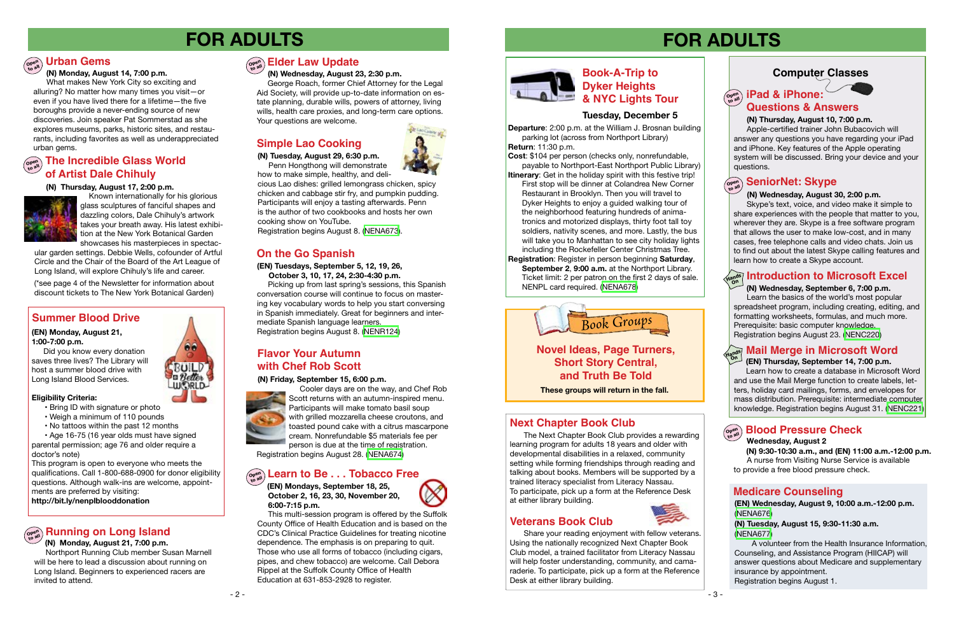## **Computer Classes**

# **FOR ADULTS FOR ADULTS**

## $\left(\begin{smallmatrix} \mathsf{open}\ \mathsf{on} \mathsf{on} \end{smallmatrix}\right)$  iPad & iPhone: **Questions & Answers**

- 2 -

#### **(N) Wednesday, September 6, 7:00 p.m.**

Learn the basics of the world's most popular spreadsheet program, including creating, editing, and formatting worksheets, formulas, and much more. Prerequisite: basic computer knowledge. Registration begins August 23. [\(NENC220\)](http://alpha1.suffolk.lib.ny.us/record%3Dg1017266~S43)

#### **(N) Wednesday, August 30, 2:00 p.m.**

#### **Introduction to Microsoft Excel Hands On**

 Skype's text, voice, and video make it simple to share experiences with the people that matter to you, wherever they are. Skype is a free software program that allows the user to make low-cost, and in many cases, free telephone calls and video chats. Join us to find out about the latest Skype calling features and learn how to create a Skype account.

#### **(N) Thursday, August 10, 7:00 p.m.**

 Apple-certified trainer John Bubacovich will answer any questions you have regarding your iPad and iPhone. Key features of the Apple operating system will be discussed. Bring your device and your questions.

## $\left(\begin{smallmatrix} \mathsf{open} \ \mathsf{open} \end{smallmatrix} \right)$  SeniorNet: Skype

## **Summer Blood Drive**

 **(N) Monday, August 21, 7:00 p.m.**

 Northport Running Club member Susan Marnell will be here to lead a discussion about running on Long Island. Beginners to experienced racers are invited to attend.

## $\left(\begin{smallmatrix} \mathsf{open} \ \mathsf{cell} \ \mathsf{real} \end{smallmatrix}\right)$  **Elder Law Update**

#### **(N) Friday, September 15, 6:00 p.m.**



Cooler days are on the way, and Chef Rob Scott returns with an autumn-inspired menu. Participants will make tomato basil soup with grilled mozzarella cheese croutons, and toasted pound cake with a citrus mascarpone cream. Nonrefundable \$5 materials fee per person is due at the time of registration.

Registration begins August 28. ([NENA674\)](http://alpha1.suffolk.lib.ny.us/record%3Dg1074988~S43)

## **Flavor Your Autumn with Chef Rob Scott**

## $\left(\begin{smallmatrix} \mathbb{C} & \mathbb{C} & \mathbb{C} \\ \mathbb{C} & \mathbb{C} & \mathbb{C} \end{smallmatrix}\right)$  The Incredible Glass World **of Artist Dale Chihuly**

## **Simple Lao Cooking**

**(N) Tuesday, August 29, 6:30 p.m.** Penn Hongthong will demonstrate

how to make simple, healthy, and delicious Lao dishes: grilled lemongrass chicken, spicy chicken and cabbage stir fry, and pumpkin pudding. Participants will enjoy a tasting afterwards. Penn is the author of two cookbooks and hosts her own cooking show on YouTube.

Registration begins August 8. ([NENA673](http://alpha1.suffolk.lib.ny.us/record%3Dg1074986~S43)).

## **Veterans Book Club**

Share your reading enjoyment with fellow veterans. Using the nationally recognized Next Chapter Book Club model, a trained facilitator from Literacy Nassau will help foster understanding, community, and camaraderie. To participate, pick up a form at the Reference Desk at either library building.



## **Next Chapter Book Club**

The Next Chapter Book Club provides a rewarding learning program for adults 18 years and older with developmental disabilities in a relaxed, community setting while forming friendships through reading and talking about books. Members will be supported by a trained literacy specialist from Literacy Nassau. To participate, pick up a form at the Reference Desk at either library building.



**Novel Ideas, Page Turners, Short Story Central, and Truth Be Told**



**These groups will return in the fall.**

#### **(EN) Tuesdays, September 5, 12, 19, 26,**

 **October 3, 10, 17, 24, 2:30-4:30 p.m.** (\*see page 4 of the Newsletter for information about **Picking up from last spring's sessions**, this Spanish NENPL card required. ([NENA678](http://alpha1.suffolk.lib.ny.us/record%3Dg1075008~S43)) conversation course will continue to focus on mastering key vocabulary words to help you start conversing in Spanish immediately. Great for beginners and intermediate Spanish language learners. Registration begins August 8. ([NENR124](http://alpha1.suffolk.lib.ny.us/record%3Dg1075103~S43))

## **On the Go Spanish**

#### **(N) Thursday, August 17, 2:00 p.m.**



 Known internationally for his glorious glass sculptures of fanciful shapes and dazzling colors, Dale Chihuly's artwork takes your breath away. His latest exhibition at the New York Botanical Garden showcases his masterpieces in spectac-

 $66$ 

**BULD** a Better **LUISRID** 

ular garden settings. Debbie Wells, cofounder of Artful Circle and the Chair of the Board of the Art League of Long Island, will explore Chihuly's life and career.

#### **Wednesday, August 2**

 **(N) 9:30-10:30 a.m., and (EN) 11:00 a.m.-12:00 p.m.**  A nurse from Visiting Nurse Service is available to provide a free blood pressure check.

## **Open to all Blood Pressure Check**

**(EN) Wednesday, August 9, 10:00 a.m.-12:00 p.m.** ([NENA676\)](http://alpha1.suffolk.lib.ny.us/record%3Dg1075009~S43)

**(N) Tuesday, August 15, 9:30-11:30 a.m.**  ([NENA677\)](http://alpha1.suffolk.lib.ny.us/record%3Dg1075010~S43)

## **Learn to Be . . . Tobacco Free Open to all**

 A volunteer from the Health Insurance Information, Counseling, and Assistance Program (HIICAP) will answer questions about Medicare and supplementary insurance by appointment.

Registration begins August 1.

#### **Medicare Counseling**

## **Open Urban Gems to all**

 **(N) Monday, August 14, 7:00 p.m.**

What makes New York City so exciting and alluring? No matter how many times you visit—or even if you have lived there for a lifetime—the five boroughs provide a never-ending source of new discoveries. Join speaker Pat Sommerstad as she explores museums, parks, historic sites, and restaurants, including favorites as well as underappreciated urban gems.

**(EN) Monday, August 21, 1:00-7:00 p.m.**

 Did you know every donation saves three lives? The Library will host a summer blood drive with Long Island Blood Services.

#### **Eligibility Criteria:**

- Bring ID with signature or photo
- Weigh a minimum of 110 pounds
- No tattoos within the past 12 months
- Age 16-75 (16 year olds must have signed

parental permission; age 76 and older require a doctor's note)

This program is open to everyone who meets the qualifications. Call 1-800-688-0900 for donor eligibility questions. Although walk-ins are welcome, appointments are preferred by visiting: **http://bit.ly/nenplblooddonation**

## စ္ပ္ဖြစ္ပ္ကုိ Running on Long Island

#### **(N) Wednesday, August 23, 2:30 p.m.**

George Roach, former Chief Attorney for the Legal Aid Society, will provide up-to-date information on estate planning, durable wills, powers of attorney, living wills, health care proxies, and long-term care options. Your questions are welcome.

 **(EN) Mondays, September 18, 25, October 2, 16, 23, 30, November 20, 6:00-7:15 p.m.** 



 This multi-session program is offered by the Suffolk County Office of Health Education and is based on the CDC's Clinical Practice Guidelines for treating nicotine dependence. The emphasis is on preparing to quit. Those who use all forms of tobacco (including cigars, pipes, and chew tobacco) are welcome. Call Debora Rippel at the Suffolk County Office of Health Education at 631-853-2928 to register.



#### **Tuesday, December 5**

## **Book-A-Trip to Dyker Heights & NYC Lights Tour**

**Departure**: 2:00 p.m. at the William J. Brosnan building parking lot (across from Northport Library) **Return**: 11:30 p.m.

**Cost**: \$104 per person (checks only, nonrefundable, payable to Northport-East Northport Public Library)

- **Itinerary**: Get in the holiday spirit with this festive trip! First stop will be dinner at Colandrea New Corner Restaurant in Brooklyn. Then you will travel to Dyker Heights to enjoy a guided walking tour of the neighborhood featuring hundreds of animatronics and motorized displays, thirty foot tall toy soldiers, nativity scenes, and more. Lastly, the bus will take you to Manhattan to see city holiday lights including the Rockefeller Center Christmas Tree.
- **Registration**: Register in person beginning **Saturday**, **September 2**, **9:00 a.m.** at the Northport Library. Ticket limit: 2 per patron on the first 2 days of sale.

discount tickets to The New York Botanical Garden)

#### **(EN) Thursday, September 14, 7:00 p.m.**

#### **Mail Merge in Microsoft Word Hands**

Learn how to create a database in Microsoft Word and use the Mail Merge function to create labels, letters, holiday card mailings, forms, and envelopes for mass distribution. Prerequisite: intermediate computer knowledge. Registration begins August 31. ([NENC221](http://alpha1.suffolk.lib.ny.us/record%3Dg1075107~S43))

**On**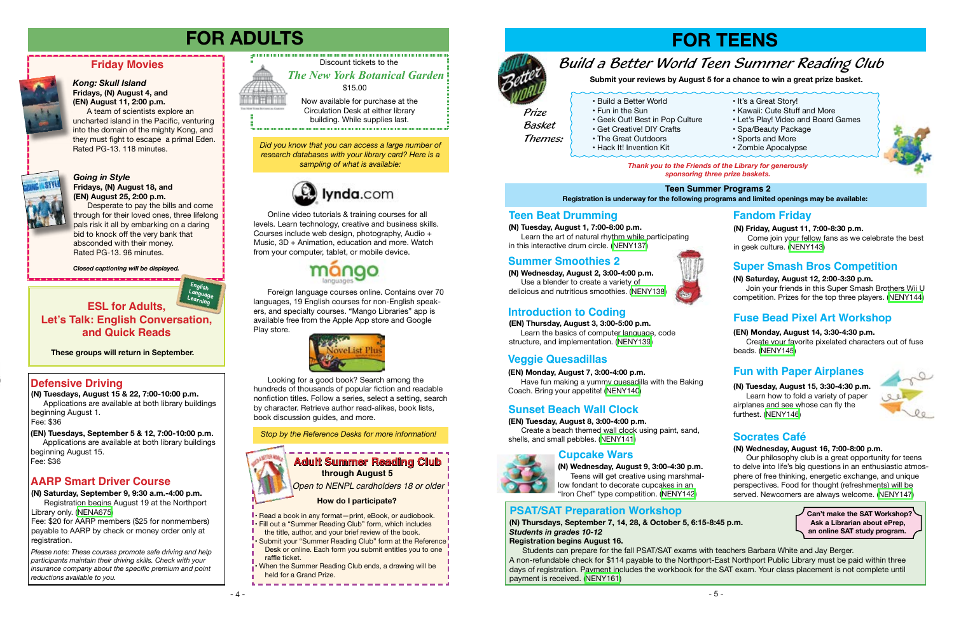- Build a Better World It's a Great Story!
- Fun in the Sun Kawaii: Cute Stuff and More<br>• Geek Out! Best in Pop Culture Let's Play! Video and Board (
	- Let's Play! Video and Board Games<br>• Spa/Beauty Package
	-
	-
	-

#### *Going in Style* **Fridays, (N) August 18, and (EN) August 25, 2:00 p.m.**

Desperate to pay the bills and come through for their loved ones, three lifelong pals risk it all by embarking on a daring bid to knock off the very bank that absconded with their money. Rated PG-13. 96 minutes.

## **Friday Movies**

#### *Kong: Skull Island* **Fridays, (N) August 4, and (EN) August 11, 2:00 p.m.**

A team of scientists explore an uncharted island in the Pacific, venturing into the domain of the mighty Kong, and they must fight to escape a primal Eden. Rated PG-13. 118 minutes.



*Closed captioning will be displayed.*

Looking for a good book? Search among the hundreds of thousands of popular fiction and readable nonfiction titles. Follow a series, select a setting, search by character. Retrieve author read-alikes, book lists, book discussion guides, and more.

# **FOR ADULTS FOR TEENS**



Online video tutorials & training courses for all levels. Learn technology, creative and business skills. Courses include web design, photography, Audio + Music, 3D + Animation, education and more. Watch from your computer, tablet, or mobile device.



Foreign language courses online. Contains over 70 languages, 19 English courses for non-English speakers, and specialty courses. "Mango Libraries" app is available free from the Apple App store and Google Play store.



## **Defensive Driving**

*Please note: These courses promote safe driving and help participants maintain their driving skills. Check with your insurance company about the specific premium and point reductions available to you.*

## **AARP Smart Driver Course**

#### **(N) Tuesdays, August 15 & 22, 7:00-10:00 p.m.**

Applications are available at both library buildings beginning August 1.

Fee: \$36

#### **(N) Saturday, September 9, 9:30 a.m.-4:00 p.m.**

Registration begins August 19 at the Northport Library only. [\(NENA675](http://alpha1.suffolk.lib.ny.us/record%3Dg1075013~S43))

Fee: \$20 for AARP members (\$25 for nonmembers) payable to AARP by check or money order only at registration.

#### **(EN) Tuesdays, September 5 & 12, 7:00-10:00 p.m.**

Applications are available at both library buildings beginning August 15. Fee: \$36

*Thank you to the Friends of the Library for generously sponsoring three prize baskets.*

**Submit your reviews by August 5 for a chance to win a great prize basket.**

- 
- 
- Get Creative! DIY Crafts Spa/Beauty Pack<br>• The Great Outdoors Sports and More
- The Great Outdoors
- Hack It! Invention Kit Zombie Apocalypse

# *Build a Better World Teen Summer Reading Club*

*Prize Basket Themes:*

## **Teen Summer Programs 2**

**Registration is underway for the following programs and limited openings may be available:**

#### **(N) Tuesday, August 1, 7:00-8:00 p.m.**

 Learn the art of natural rhythm while participating in this interactive drum circle. [\(NENY137\)](http://alpha1.suffolk.lib.ny.us/record%3Dg1073603~S43)

## **Teen Beat Drumming**

**(N) Wednesday, August 2, 3:00-4:00 p.m.** Use a blender to create a variety of delicious and nutritious smoothies. [\(NENY138\)](http://alpha1.suffolk.lib.ny.us/record%3Dg1073607~S43)



## **Summer Smoothies 2**

**(EN) Monday, August 7, 3:00-4:00 p.m.** Have fun making a yummy quesadilla with the Baking Coach. Bring your appetite! ([NENY140\)](http://alpha1.suffolk.lib.ny.us/record%3Dg1073611~S43)

## **Veggie Quesadillas**

**(EN) Thursday, August 3, 3:00-5:00 p.m.** Learn the basics of computer language, code structure, and implementation. [\(NENY139\)](http://alpha1.suffolk.lib.ny.us/record%3Dg1073608~S43)

## **Introduction to Coding**

**(N) Wednesday, August 9, 3:00-4:30 p.m.** Teens will get creative using marshmallow fondant to decorate cupcakes in an "Iron Chef" type competition. ([NENY142\)](http://alpha1.suffolk.lib.ny.us/record%3Dg1073626~S43)

#### **(N) Saturday, August 12, 2:00-3:30 p.m.**

Join your friends in this Super Smash Brothers Wii U competition. Prizes for the top three players. [\(NENY144](http://alpha1.suffolk.lib.ny.us/record%3Dg1073634~S43))

## **Cupcake Wars**



# **Super Smash Bros Competition**

## **Fandom Friday**

## **(N) Friday, August 11, 7:00-8:30 p.m.**

Come join your fellow fans as we celebrate the best in geek culture. [\(NENY143](http://alpha1.suffolk.lib.ny.us/record%3Dg1073632~S43))

#### **(EN) Tuesday, August 8, 3:00-4:00 p.m.**

 Create a beach themed wall clock using paint, sand, shells, and small pebbles. ([NENY141](http://alpha1.suffolk.lib.ny.us/record%3Dg1073623~S43))

## **Sunset Beach Wall Clock**

#### **(N) Tuesday, August 15, 3:30-4:30 p.m.** Learn how to fold a variety of paper airplanes and see whose can fly the furthest. [\(NENY146](http://alpha1.suffolk.lib.ny.us/record%3Dg1073638~S43))



## **(EN) Monday, August 14, 3:30-4:30 p.m.**

 Create your favorite pixelated characters out of fuse beads. [\(NENY145\)](http://alpha1.suffolk.lib.ny.us/record%3Dg1073636~S43)

## **(N) Wednesday, August 16, 7:00-8:00 p.m.**

 Our philosophy club is a great opportunity for teens to delve into life's big questions in an enthusiastic atmosphere of free thinking, energetic exchange, and unique perspectives. Food for thought (refreshments) will be served. Newcomers are always welcome. [\(NENY147](http://alpha1.suffolk.lib.ny.us/record%3Dg1073640~S43))

## **Socrates Café**

## **Fuse Bead Pixel Art Workshop**

## **Fun with Paper Airplanes**

 • Read a book in any format—print, eBook, or audiobook. • Fill out a "Summer Reading Club" form, which includes the title, author, and your brief review of the book.

• Submit your "Summer Reading Club" form at the Reference

Desk or online. Each form you submit entitles you to one raffle ticket.

 • When the Summer Reading Club ends, a drawing will be held for a Grand Prize.



*Open to NENPL cardholders 18 or older*

#### **How do I participate?**



## **Adult Summer Reading Club through August 5**

*Did you know that you can access a large number of research databases with your library card? Here is a sampling of what is available:*



*Stop by the Reference Desks for more information!*

**Can't make the SAT Workshop? Ask a Librarian about ePrep, an online SAT study program.** 





**(N) Thursdays, September 7, 14, 28, & October 5, 6:15-8:45 p.m.**  *Students in grades 10-12* 

#### **Registration begins August 16.**

 Students can prepare for the fall PSAT/SAT exams with teachers Barbara White and Jay Berger. A non-refundable check for \$114 payable to the Northport-East Northport Public Library must be paid within three days of registration. Payment includes the workbook for the SAT exam. Your class placement is not complete until payment is received. [\(NENY161\)](http://alpha1.suffolk.lib.ny.us/record%3Dg1074918~S43)

## **PSAT/SAT Preparation Workshop**

## **ESL for Adults, Let's Talk: English Conversation, and Quick Reads**



**These groups will return in September.**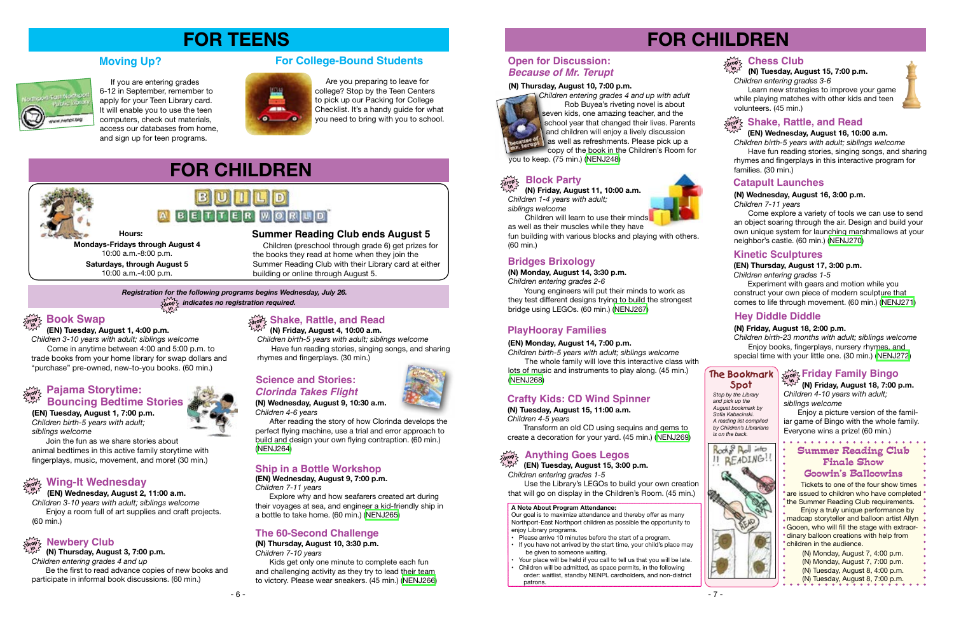# **FOR CHILDREN**



## $\lim_{\delta\to 0}$  Chess Club



# **FOR TEENS**

*Stop by the Library and pick up the August bookmark by Sofia Kabacinski. A reading list compiled by Children's Librarians is on the back.*



#### **The Bookmark Spot**

Are you preparing to leave for college? Stop by the Teen Centers to pick up our Packing for College Checklist. It's a handy guide for what you need to bring with you to school.

## **For College-Bound Students**



 If you are entering grades 6-12 in September, remember to apply for your Teen Library card. It will enable you to use the teen computers, check out materials, access our databases from home, and sign up for teen programs.

## **Moving Up?**



# **FOR CHILDREN**



# **O O U O BETTER WORLD**

*Registration for the following programs begins Wednesday, July 26.* **drop in** *indicates no registration required.*

#### **(EN) Tuesday, August 1, 4:00 p.m.**



*Children 3-10 years with adult; siblings welcome* Come in anytime between 4:00 and 5:00 p.m. to trade books from your home library for swap dollars and "purchase" pre-owned, new-to-you books. (60 min.)

**(EN) Tuesday, August 1, 7:00 p.m.** *Children birth-5 years with adult; siblings welcome*

## **Pajama Storytime: drop in Bouncing Bedtime Stories**

Join the fun as we share stories about animal bedtimes in this active family storytime with fingerplays, music, movement, and more! (30 min.)

## **(EN) Wednesday, August 2, 11:00 a.m.**



*Children 3-10 years with adult; siblings welcome* Enjoy a room full of art supplies and craft projects. (60 min.)

#### **Shake, Rattle, and Read (N) Friday, August 4, 10:00 a.m.** *Children birth-5 years with adult; siblings welcome*

Have fun reading stories, singing songs, and sharing rhymes and fingerplays. (30 min.)

**drop in**

#### **Newbery Club drop**

 **(N) Thursday, August 3, 7:00 p.m.** *Children entering grades 4 and up* **in**

Be the first to read advance copies of new books and participate in informal book discussions. (60 min.)

### **Science and Stories:** *Clorinda Takes Flight*

**(N) Wednesday, August 9, 10:30 a.m.** *Children 4-6 years*

After reading the story of how Clorinda develops the perfect flying machine, use a trial and error approach to build and design your own flying contraption. (60 min.) [\(NENJ264\)](http://alpha1.suffolk.lib.ny.us/record%3Dg1073390~S43)

## **Ship in a Bottle Workshop**

**(EN) Wednesday, August 9, 7:00 p.m.**

*Children 7-11 years*

Explore why and how seafarers created art during their voyages at sea, and engineer a kid-friendly ship in a bottle to take home. (60 min.) [\(NENJ265\)](http://alpha1.suffolk.lib.ny.us/record%3Dg1073334~S43)

## **The 60-Second Challenge**

#### **(N) Thursday, August 10, 3:30 p.m.**

*Children 7-10 years*

Tickets to one of the four show times are issued to children who have completed the Summer Reading Club requirements.

Kids get only one minute to complete each fun and challenging activity as they try to lead their team to victory. Please wear sneakers. (45 min.) ([NENJ266](http://alpha1.suffolk.lib.ny.us/record%3Dg1073393~S43))

Enjoy a truly unique performance by madcap storyteller and balloon artist Allyn Gooen, who will fill the stage with extraordinary balloon creations with help from children in the audience.

 **(N) Friday, August 11, 10:00 a.m.** *Children 1-4 years with adult; siblings welcome*

Children will learn to use their minds

#### **Block Party drop in**

as well as their muscles while they have fun building with various blocks and playing with others. (60 min.)

## **Bridges Brixology**

**(N) Monday, August 14, 3:30 p.m.**

*Children entering grades 2-6*

Young engineers will put their minds to work as they test different designs trying to build the strongest bridge using LEGOs. (60 min.) [\(NENJ267\)](http://alpha1.suffolk.lib.ny.us/record%3Dg1073396~S43)

## **PlayHooray Families**

#### **(EN) Monday, August 14, 7:00 p.m.**

*Children birth-5 years with adult; siblings welcome* The whole family will love this interactive class with lots of music and instruments to play along. (45 min.) [\(NENJ268\)](http://alpha1.suffolk.lib.ny.us/record%3Dg1073335~S43)

#### **Crafty Kids: CD Wind Spinner**

**(N) Tuesday, August 15, 11:00 a.m.** *Children 4-5 years*

Transform an old CD using sequins and gems to create a decoration for your yard. (45 min.) [\(NENJ269\)](http://alpha1.suffolk.lib.ny.us/record%3Dg1073398~S43)

Use the Library's LEGOs to build your own creation that will go on display in the Children's Room. (45 min.)

#### **Catapult Launches**

#### **(N) Wednesday, August 16, 3:00 p.m.**

*Children 7-11 years*

Come explore a variety of tools we can use to send an object soaring through the air. Design and build your own unique system for launching marshmallows at your neighbor's castle. (60 min.) [\(NENJ270\)](http://alpha1.suffolk.lib.ny.us/record%3Dg1073402~S43)

#### **Kinetic Sculptures**

#### **(EN) Thursday, August 17, 3:00 p.m.**

*Children entering grades 1-5*

Experiment with gears and motion while you construct your own piece of modern sculpture that comes to life through movement. (60 min.) [\(NENJ271\)](http://alpha1.suffolk.lib.ny.us/record%3Dg1073339~S43)

#### **(N) Friday, August 18, 2:00 p.m.**

*Children birth-23 months with adult; siblings welcome* Enjoy books, fingerplays, nursery rhymes, and special time with your little one. (30 min.) ([NENJ272\)](http://alpha1.suffolk.lib.ny.us/record%3Dg1073403~S43)

#### **Hey Diddle Diddle**

#### **(EN) Wednesday, August 16, 10:00 a.m.**

*Children birth-5 years with adult; siblings welcome* Have fun reading stories, singing songs, and sharing rhymes and fingerplays in this interactive program for families. (30 min.)

#### **(N) Tuesday, August 15, 7:00 p.m.** *Children entering grades 3-6*

Learn new strategies to improve your game while playing matches with other kids and teen volunteers. (45 min.)



## $\frac{\partial \mathbf{e}}{\partial \mathbf{e}}$  Shake, Rattle, and Read

#### **Anything Goes Legos drop**

 **(EN) Tuesday, August 15, 3:00 p.m.** *Children entering grades 1-5*  **in**

 **(N) Friday, August 18, 7:00 p.m.** *Children 4-10 years with adult; siblings welcome*

Enjoy a picture version of the familiar game of Bingo with the whole family. Everyone wins a prize! (60 min.)

**Summer Reading Club Finale Show Goowin's Balloowins**

#### **Friday Family Bingo drop in**

- (N) Monday, August 7, 4:00 p.m.
- (N) Monday, August 7, 7:00 p.m.
- (N) Tuesday, August 8, 4:00 p.m.
- (N) Tuesday, August 8, 7:00 p.m.

#### **A Note About Program Attendance:**

Our goal is to maximize attendance and thereby offer as many Northport-East Northport children as possible the opportunity to enjoy Library programs.

- Please arrive 10 minutes before the start of a program.
- If you have not arrived by the start time, your child's place may be given to someone waiting.
- Your place will be held if you call to tell us that you will be late. • Children will be admitted, as space permits, in the following order: waitlist, standby NENPL cardholders, and non-district patrons.

**Mondays-Fridays through August 4** 10:00 a.m.-8:00 p.m. **Saturdays, through August 5** 10:00 a.m.-4:00 p.m.

## **Summer Reading Club ends August 5**

 Children (preschool through grade 6) get prizes for the books they read at home when they join the Summer Reading Club with their Library card at either building or online through August 5.

**Hours:**

#### **(N) Thursday, August 10, 7:00 p.m.**



*Children entering grades 4 and up with adult* Rob Buyea's riveting novel is about seven kids, one amazing teacher, and the school year that changed their lives. Parents and children will enjoy a lively discussion **because of** as well as refreshments. Please pick up a copy of the book in the Children's Room for

you to keep. (75 min.) [\(NENJ248\)](http://alpha1.suffolk.lib.ny.us/record%3Dg1073365~S43)

#### **Open for Discussion:** *Because of Mr. Terupt*